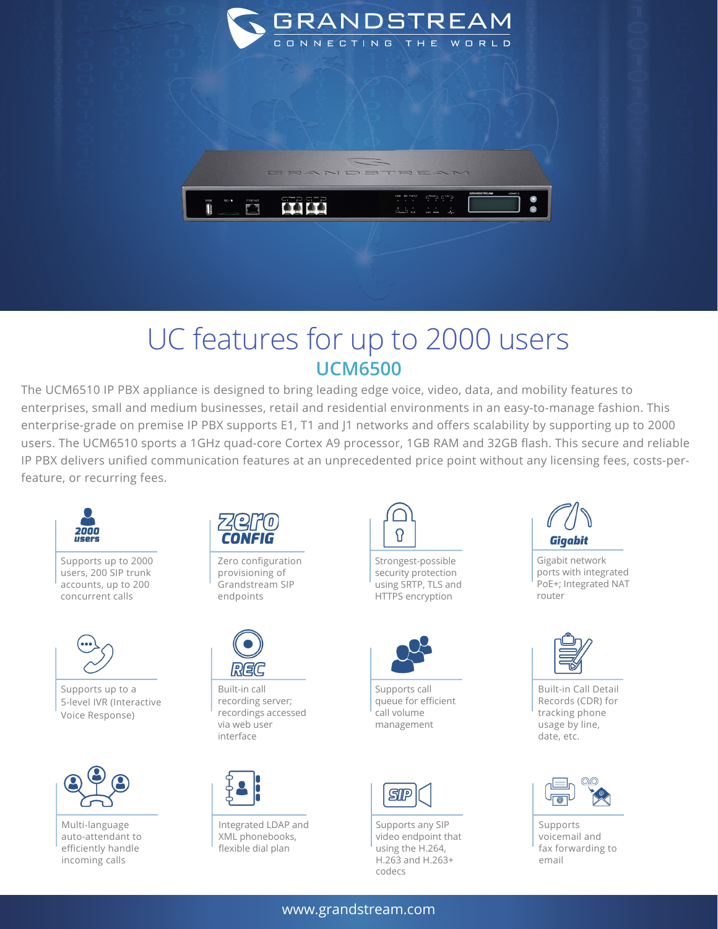

## UC features for up to 2000 users **UCM6500**

The UCM6510 IP PBX appliance is designed to bring leading edge voice, video, data, and mobility features to enterprises, small and medium businesses, retail and residential environments in an easy-to-manage fashion. This enterprise-grade on premise IP PBX supports E1, T1 and J1 networks and offers scalability by supporting up to 2000 users. The UCM6510 sports a 1GHz quad-core Cortex A9 processor, 1GB RAM and 32GB flash. This secure and reliable IP PBX delivers unified communication features at an unprecedented price point without any licensing fees, costs-perfeature, or recurring fees.



Supports up to 2000 users, 200 SIP trunk accounts, up to 200 concurrent calls



Supports up to a 5-level IVR (Interactive Voice Response)



Multi-language auto-attendant to efficiently handle incoming calls



Zero configuration provisioning of Grandstream SIP endpoints



Built-in call recording server; recordings accessed via web user interface



Integrated LDAP and XML phonebooks, flexible dial plan



Strongest-possible security protection using SRTP, TLS and HTTPS encryption



Supports call queue for efficient call volume management



Supports any SIP video endpoint that using the H.264, H.263 and H.263+ codecs



Gigabit network ports with integrated PoE+; Integrated NAT router



Built-in Call Detail Records (CDR) for tracking phone usage by line, date, etc.



Supports voicemail and fax forwarding to email